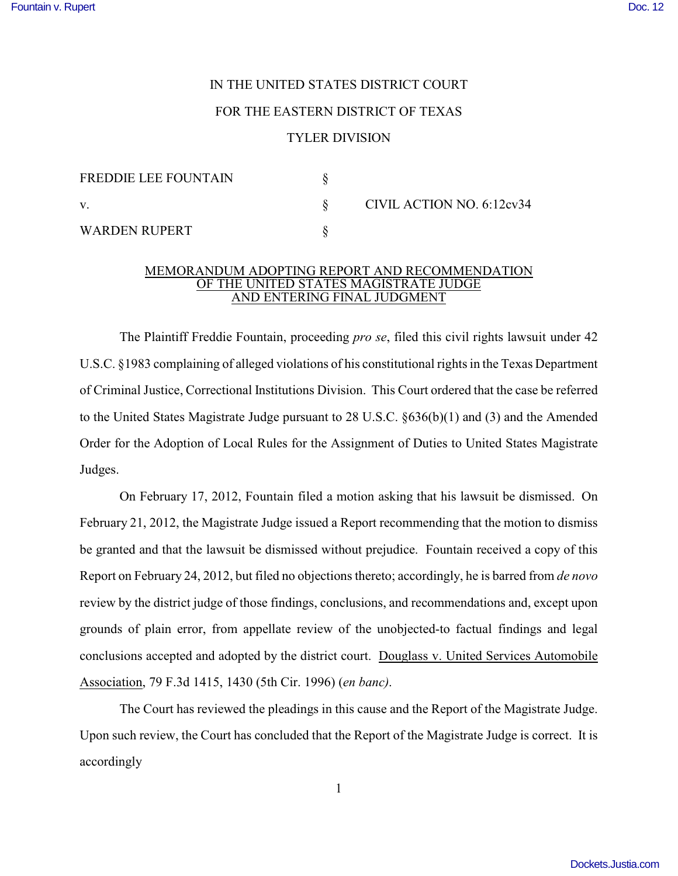## IN THE UNITED STATES DISTRICT COURT

## FOR THE EASTERN DISTRICT OF TEXAS

## TYLER DIVISION

| <b>FREDDIE LEE FOUNTAIN</b> |  | CIVIL ACTION NO. 6:12cv34 |
|-----------------------------|--|---------------------------|
| V.                          |  |                           |
| WARDEN RUPERT               |  |                           |

## MEMORANDUM ADOPTING REPORT AND RECOMMENDATION OF THE UNITED STATES MAGISTRATE JUDGE AND ENTERING FINAL JUDGMENT

The Plaintiff Freddie Fountain, proceeding *pro se*, filed this civil rights lawsuit under 42 U.S.C. §1983 complaining of alleged violations of his constitutional rights in the Texas Department of Criminal Justice, Correctional Institutions Division. This Court ordered that the case be referred to the United States Magistrate Judge pursuant to 28 U.S.C. §636(b)(1) and (3) and the Amended Order for the Adoption of Local Rules for the Assignment of Duties to United States Magistrate Judges.

 On February 17, 2012, Fountain filed a motion asking that his lawsuit be dismissed. On February 21, 2012, the Magistrate Judge issued a Report recommending that the motion to dismiss be granted and that the lawsuit be dismissed without prejudice. Fountain received a copy of this Report on February 24, 2012, but filed no objections thereto; accordingly, he is barred from *de novo* review by the district judge of those findings, conclusions, and recommendations and, except upon grounds of plain error, from appellate review of the unobjected-to factual findings and legal conclusions accepted and adopted by the district court. Douglass v. United Services Automobile Association, 79 F.3d 1415, 1430 (5th Cir. 1996) (*en banc)*.

The Court has reviewed the pleadings in this cause and the Report of the Magistrate Judge. Upon such review, the Court has concluded that the Report of the Magistrate Judge is correct. It is accordingly